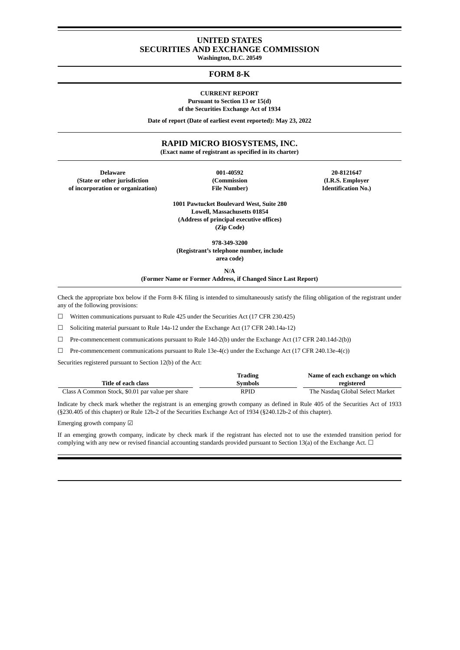# **UNITED STATES SECURITIES AND EXCHANGE COMMISSION**

**Washington, D.C. 20549**

## **FORM 8-K**

#### **CURRENT REPORT**

**Pursuant to Section 13 or 15(d) of the Securities Exchange Act of 1934**

**Date of report (Date of earliest event reported): May 23, 2022**

## **RAPID MICRO BIOSYSTEMS, INC.**

**(Exact name of registrant as specified in its charter)**

**Delaware 001-40592 20-8121647 (State or other jurisdiction (Commission (I.R.S. Employer of incorporation or organization) File Number) Identification No.)**

**1001 Pawtucket Boulevard West, Suite 280 Lowell, Massachusetts 01854 (Address of principal executive offices) (Zip Code)**

**978-349-3200 (Registrant's telephone number, include**

**area code)**

**N/A (Former Name or Former Address, if Changed Since Last Report)**

Check the appropriate box below if the Form 8-K filing is intended to simultaneously satisfy the filing obligation of the registrant under any of the following provisions:

☐ Written communications pursuant to Rule 425 under the Securities Act (17 CFR 230.425)

☐ Soliciting material pursuant to Rule 14a-12 under the Exchange Act (17 CFR 240.14a-12)

 $\Box$  Pre-commencement communications pursuant to Rule 14d-2(b) under the Exchange Act (17 CFR 240.14d-2(b))

 $\Box$  Pre-commencement communications pursuant to Rule 13e-4(c) under the Exchange Act (17 CFR 240.13e-4(c))

Securities registered pursuant to Section 12(b) of the Act:

|                                                  | Trading        | Name of each exchange on which  |
|--------------------------------------------------|----------------|---------------------------------|
| Title of each class                              | <b>Symbols</b> | registered                      |
| Class A Common Stock, \$0.01 par value per share | RPID           | The Nasdag Global Select Market |

Indicate by check mark whether the registrant is an emerging growth company as defined in Rule 405 of the Securities Act of 1933 (§230.405 of this chapter) or Rule 12b-2 of the Securities Exchange Act of 1934 (§240.12b-2 of this chapter).

Emerging growth company ☑

If an emerging growth company, indicate by check mark if the registrant has elected not to use the extended transition period for complying with any new or revised financial accounting standards provided pursuant to Section 13(a) of the Exchange Act.  $\Box$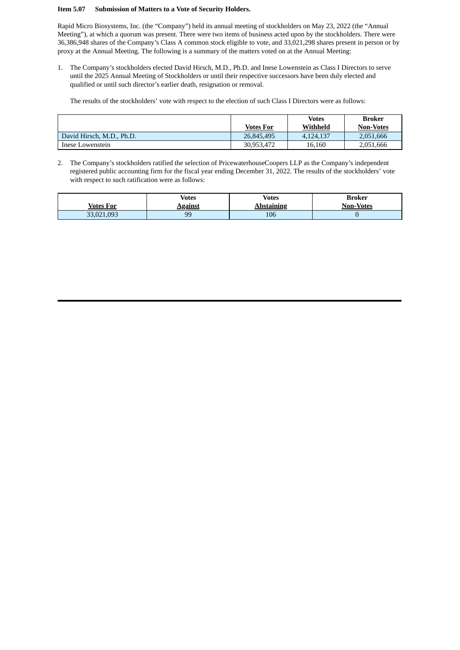#### **Item 5.07 Submission of Matters to a Vote of Security Holders.**

Rapid Micro Biosystems, Inc. (the "Company") held its annual meeting of stockholders on May 23, 2022 (the "Annual Meeting"), at which a quorum was present. There were two items of business acted upon by the stockholders. There were 36,386,948 shares of the Company's Class A common stock eligible to vote, and 33,021,298 shares present in person or by proxy at the Annual Meeting. The following is a summary of the matters voted on at the Annual Meeting:

1. The Company's stockholders elected David Hirsch, M.D., Ph.D. and Inese Lowenstein as Class I Directors to serve until the 2025 Annual Meeting of Stockholders or until their respective successors have been duly elected and qualified or until such director's earlier death, resignation or removal.

The results of the stockholders' vote with respect to the election of such Class I Directors were as follows:

|                           |            | <b>Votes</b><br>Withheld | Broker           |
|---------------------------|------------|--------------------------|------------------|
|                           | Votes For  |                          | <b>Non-Votes</b> |
| David Hirsch, M.D., Ph.D. | 26,845,495 | 4.124.137                | 2,051,666        |
| Inese Lowenstein          | 30.953.472 | 16.160                   | 2,051,666        |

2. The Company's stockholders ratified the selection of PricewaterhouseCoopers LLP as the Company's independent registered public accounting firm for the fiscal year ending December 31, 2022. The results of the stockholders' vote with respect to such ratification were as follows:

|            | Votes          | <b>Votes</b>      | Broker           |
|------------|----------------|-------------------|------------------|
| Votes For  | <b>Against</b> | <b>Abstaining</b> | <b>Non-Votes</b> |
| 33,021,093 | 99             | 106               |                  |